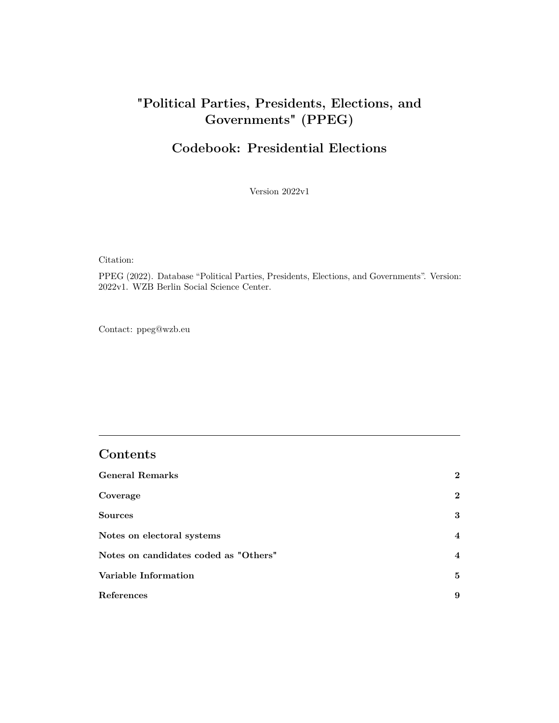# <span id="page-0-0"></span>**"Political Parties, Presidents, Elections, and Governments" (PPEG)**

## **Codebook: Presidential Elections**

Version 2022v1

Citation:

PPEG (2022). Database "Political Parties, Presidents, Elections, and Governments". Version: 2022v1. WZB Berlin Social Science Center.

Contact:<ppeg@wzb.eu>

### **Contents**

| <b>General Remarks</b>                | $\bf{2}$     |
|---------------------------------------|--------------|
| Coverage                              | $\mathbf{2}$ |
| <b>Sources</b>                        | 3            |
| Notes on electoral systems            | 4            |
| Notes on candidates coded as "Others" | 4            |
| Variable Information                  | 5            |
| References                            | 9            |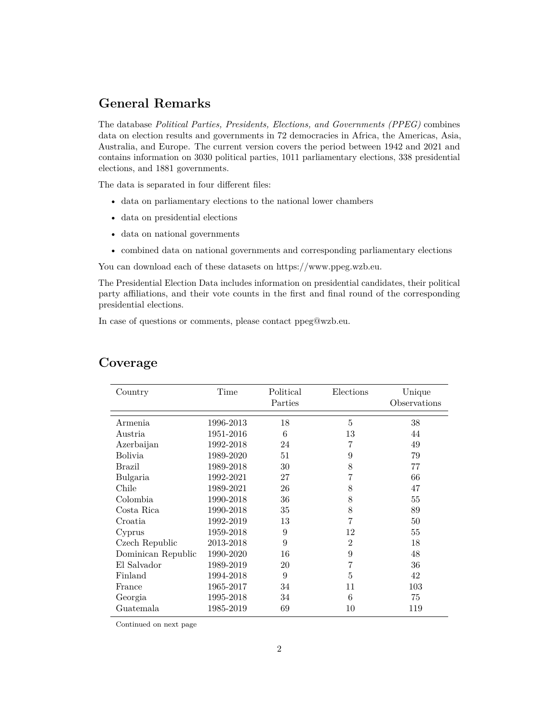### <span id="page-1-0"></span>**General Remarks**

The database *Political Parties, Presidents, Elections, and Governments (PPEG)* combines data on election results and governments in 72 democracies in Africa, the Americas, Asia, Australia, and Europe. The current version covers the period between 1942 and 2021 and contains information on 3030 political parties, 1011 parliamentary elections, 338 presidential elections, and 1881 governments.

The data is separated in four different files:

- data on parliamentary elections to the national lower chambers
- data on presidential elections
- data on national governments
- combined data on national governments and corresponding parliamentary elections

You can download each of these datasets on [https://www.ppeg.wzb.eu.](https://www.ppeg.wzb.eu)

The Presidential Election Data includes information on presidential candidates, their political party affiliations, and their vote counts in the first and final round of the corresponding presidential elections.

In case of questions or comments, please contact [ppeg@wzb.eu.](ppeg@wzb.eu)

| Country            | Time      | Political<br>Elections<br>Parties |                | Unique<br>Observations |  |
|--------------------|-----------|-----------------------------------|----------------|------------------------|--|
| Armenia            | 1996-2013 | 18                                | 5              | 38                     |  |
| Austria            | 1951-2016 | 6                                 | 13             | 44                     |  |
| Azerbaijan         | 1992-2018 | 24                                | 7              | 49                     |  |
| <b>Bolivia</b>     | 1989-2020 | 51                                | 9              | 79                     |  |
| Brazil             | 1989-2018 | 30                                | 8              | 77                     |  |
| Bulgaria           | 1992-2021 | 27                                | 7              | 66                     |  |
| Chile              | 1989-2021 | 26                                | 8              | 47                     |  |
| Colombia           | 1990-2018 | 36                                | 8              | 55                     |  |
| Costa Rica         | 1990-2018 | 35                                | 8              | 89                     |  |
| Croatia            | 1992-2019 | 13                                | 7              | 50                     |  |
| Cyprus             | 1959-2018 | 9                                 | 12             | 55                     |  |
| Czech Republic     | 2013-2018 | 9                                 | $\overline{2}$ | 18                     |  |
| Dominican Republic | 1990-2020 | 16                                | 9              | 48                     |  |
| El Salvador        | 1989-2019 | 20                                | 7              | 36                     |  |
| Finland            | 1994-2018 | 9                                 | 5              | 42                     |  |
| France             | 1965-2017 | 34                                | 11             | 103                    |  |
| Georgia            | 1995-2018 | 34                                | 6              | 75                     |  |
| Guatemala          | 1985-2019 | 69                                | 10             | 119                    |  |

### <span id="page-1-1"></span>**Coverage**

Continued on next page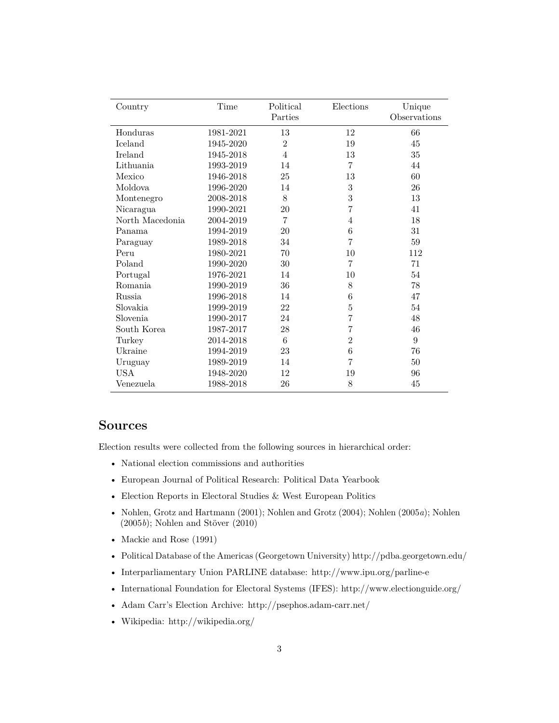| Country         | Time      | Political<br>Parties | Elections       | Unique<br>Observations |
|-----------------|-----------|----------------------|-----------------|------------------------|
| Honduras        | 1981-2021 | 13                   | 12              | 66                     |
| Iceland         | 1945-2020 | $\overline{2}$       | 19              | 45                     |
| <b>Ireland</b>  | 1945-2018 | 4                    | 13              | $35\,$                 |
| Lithuania       | 1993-2019 | 14                   | $\overline{7}$  | 44                     |
| Mexico          | 1946-2018 | 25                   | 13              | 60                     |
| Moldova         | 1996-2020 | 14                   | 3               | 26                     |
| Montenegro      | 2008-2018 | 8                    | 3               | 13                     |
| Nicaragua       | 1990-2021 | 20                   | 7               | 41                     |
| North Macedonia | 2004-2019 | 7                    | $\overline{4}$  | 18                     |
| Panama          | 1994-2019 | 20                   | $6\phantom{.}6$ | 31                     |
| Paraguay        | 1989-2018 | 34                   | $\overline{7}$  | 59                     |
| Peru            | 1980-2021 | 70                   | 10              | 112                    |
| Poland          | 1990-2020 | 30                   | $\overline{7}$  | 71                     |
| Portugal        | 1976-2021 | 14                   | 10              | 54                     |
| Romania         | 1990-2019 | 36                   | $8\,$           | 78                     |
| <b>Russia</b>   | 1996-2018 | 14                   | 6               | 47                     |
| Slovakia        | 1999-2019 | 22                   | $\bf 5$         | 54                     |
| Slovenia        | 1990-2017 | 24                   | 7               | 48                     |
| South Korea     | 1987-2017 | 28                   | 7               | 46                     |
| Turkey          | 2014-2018 | 6                    | $\overline{2}$  | 9                      |
| Ukraine         | 1994-2019 | 23                   | 6               | 76                     |
| Uruguay         | 1989-2019 | 14                   | 7               | 50                     |
| <b>USA</b>      | 1948-2020 | 12                   | 19              | 96                     |
| Venezuela       | 1988-2018 | 26                   | 8               | 45                     |

#### <span id="page-2-0"></span>**Sources**

Election results were collected from the following sources in hierarchical order:

- National election commissions and authorities
- European Journal of Political Research: Political Data Yearbook
- Election Reports in Electoral Studies & West European Politics
- [Nohlen, Grotz and Hartmann](#page-8-0) [\(2001\)](#page-8-0); [Nohlen and Grotz](#page-8-1) [\(2004\)](#page-8-1); [Nohlen](#page-8-2) [\(2005](#page-8-2)*a*); [Nohlen](#page-8-3) [\(2005](#page-8-3)*b*); [Nohlen and Stöver](#page-8-4) [\(2010\)](#page-8-4)
- [Mackie and Rose](#page-8-5) [\(1991\)](#page-8-5)
- Political Database of the Americas (Georgetown University)<http://pdba.georgetown.edu/>
- Interparliamentary Union PARLINE database:<http://www.ipu.org/parline-e>
- International Foundation for Electoral Systems (IFES):<http://www.electionguide.org/>
- Adam Carr's Election Archive:<http://psephos.adam-carr.net/>
- Wikipedia:<http://wikipedia.org/>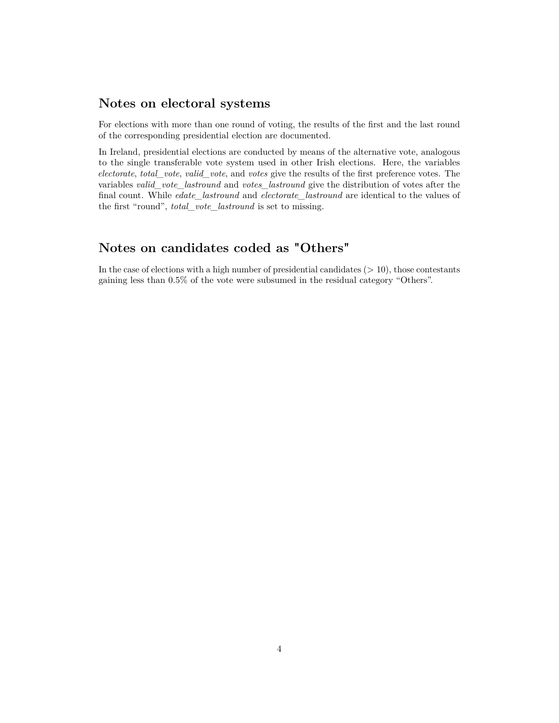#### <span id="page-3-0"></span>**Notes on electoral systems**

For elections with more than one round of voting, the results of the first and the last round of the corresponding presidential election are documented.

In Ireland, presidential elections are conducted by means of the alternative vote, analogous to the single transferable vote system used in other Irish elections. Here, the variables *electorate*, *total\_vote*, *valid\_vote*, and *votes* give the results of the first preference votes. The variables *valid\_vote\_lastround* and *votes\_lastround* give the distribution of votes after the final count. While *edate\_lastround* and *electorate\_lastround* are identical to the values of the first "round", *total\_vote\_lastround* is set to missing.

## <span id="page-3-1"></span>**Notes on candidates coded as "Others"**

In the case of elections with a high number of presidential candidates (*>* 10), those contestants gaining less than 0.5% of the vote were subsumed in the residual category "Others".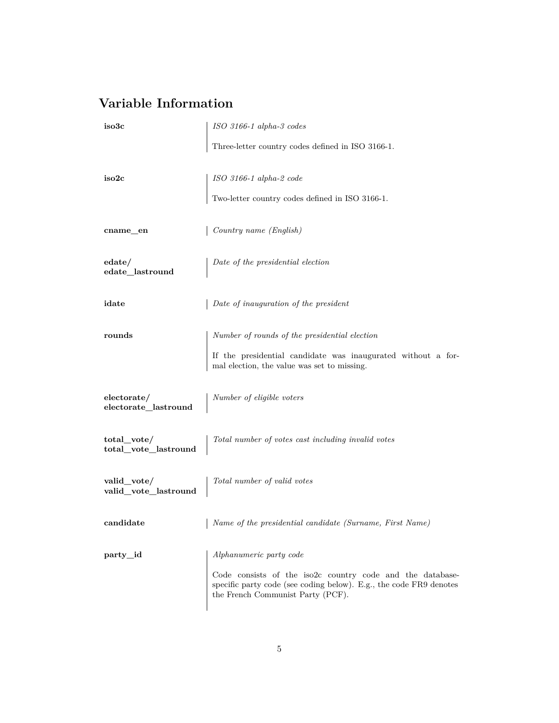# <span id="page-4-0"></span>**Variable Information**

<span id="page-4-1"></span>

| iso3c                               | ISO 3166-1 alpha-3 codes                                                                                                                                                                        |  |  |
|-------------------------------------|-------------------------------------------------------------------------------------------------------------------------------------------------------------------------------------------------|--|--|
|                                     | Three-letter country codes defined in ISO 3166-1.                                                                                                                                               |  |  |
| iso2c                               | ISO 3166-1 alpha-2 code<br>Two-letter country codes defined in ISO 3166-1.                                                                                                                      |  |  |
| cname_en                            | Country name (English)                                                                                                                                                                          |  |  |
| edate/<br>edate_lastround           | Date of the presidential election                                                                                                                                                               |  |  |
| idate                               | Date of inauguration of the president                                                                                                                                                           |  |  |
| rounds                              | Number of rounds of the presidential election<br>If the presidential candidate was inaugurated without a for-<br>mal election, the value was set to missing.                                    |  |  |
| electorate/<br>electorate_lastround | Number of eligible voters                                                                                                                                                                       |  |  |
| total_vote/<br>total_vote_lastround | Total number of votes cast including invalid votes                                                                                                                                              |  |  |
| valid_vote/<br>valid_vote_lastround | Total number of valid votes                                                                                                                                                                     |  |  |
| candidate                           | Name of the presidential candidate (Surname, First Name)                                                                                                                                        |  |  |
| $party_id$                          | Alphanumeric party code<br>Code consists of the iso2c country code and the database-<br>specific party code (see coding below). E.g., the code FR9 denotes<br>the French Communist Party (PCF). |  |  |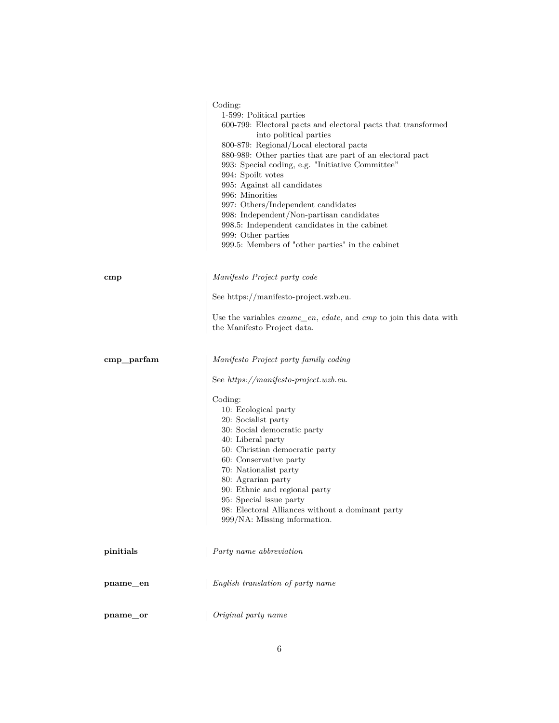<span id="page-5-0"></span>

|               | Coding:<br>1-599: Political parties<br>$600\text{-}799\mathrm{:}$ Electoral pacts and electoral pacts that transformed<br>into political parties<br>800-879: Regional/Local electoral pacts<br>880-989: Other parties that are part of an electoral pact<br>993: Special coding, e.g. "Initiative Committee"<br>994: Spoilt votes<br>995: Against all candidates<br>996: Minorities<br>997: Others/Independent candidates<br>998: Independent/Non-partisan candidates<br>998.5: Independent candidates in the cabinet<br>999: Other parties<br>999.5: Members of "other parties" in the cabinet |
|---------------|-------------------------------------------------------------------------------------------------------------------------------------------------------------------------------------------------------------------------------------------------------------------------------------------------------------------------------------------------------------------------------------------------------------------------------------------------------------------------------------------------------------------------------------------------------------------------------------------------|
| $_{\rm{cmp}}$ | Manifesto Project party code                                                                                                                                                                                                                                                                                                                                                                                                                                                                                                                                                                    |
|               | See https://manifesto-project.wzb.eu.                                                                                                                                                                                                                                                                                                                                                                                                                                                                                                                                                           |
|               | Use the variables <i>cname_en</i> , <i>edate</i> , and <i>cmp</i> to join this data with<br>the Manifesto Project data.                                                                                                                                                                                                                                                                                                                                                                                                                                                                         |
| $cmp\_parfam$ | Manifesto Project party family coding                                                                                                                                                                                                                                                                                                                                                                                                                                                                                                                                                           |
|               | See https://manifesto-project.wzb.eu.                                                                                                                                                                                                                                                                                                                                                                                                                                                                                                                                                           |
|               | Coding:                                                                                                                                                                                                                                                                                                                                                                                                                                                                                                                                                                                         |
|               | 10: Ecological party<br>20: Socialist party                                                                                                                                                                                                                                                                                                                                                                                                                                                                                                                                                     |
|               | 30: Social democratic party                                                                                                                                                                                                                                                                                                                                                                                                                                                                                                                                                                     |
|               | 40: Liberal party<br>50: Christian democratic party                                                                                                                                                                                                                                                                                                                                                                                                                                                                                                                                             |
|               | 60: Conservative party                                                                                                                                                                                                                                                                                                                                                                                                                                                                                                                                                                          |
|               | 70: Nationalist party<br>80: Agrarian party                                                                                                                                                                                                                                                                                                                                                                                                                                                                                                                                                     |
|               | 90: Ethnic and regional party                                                                                                                                                                                                                                                                                                                                                                                                                                                                                                                                                                   |
|               | 95: Special issue party                                                                                                                                                                                                                                                                                                                                                                                                                                                                                                                                                                         |
|               | 98: Electoral Alliances without a dominant party<br>999/NA: Missing information.                                                                                                                                                                                                                                                                                                                                                                                                                                                                                                                |
| pinitials     | Party name abbreviation                                                                                                                                                                                                                                                                                                                                                                                                                                                                                                                                                                         |
|               |                                                                                                                                                                                                                                                                                                                                                                                                                                                                                                                                                                                                 |
| pname_en      | English translation of party name                                                                                                                                                                                                                                                                                                                                                                                                                                                                                                                                                               |
| pname_or      | Original party name                                                                                                                                                                                                                                                                                                                                                                                                                                                                                                                                                                             |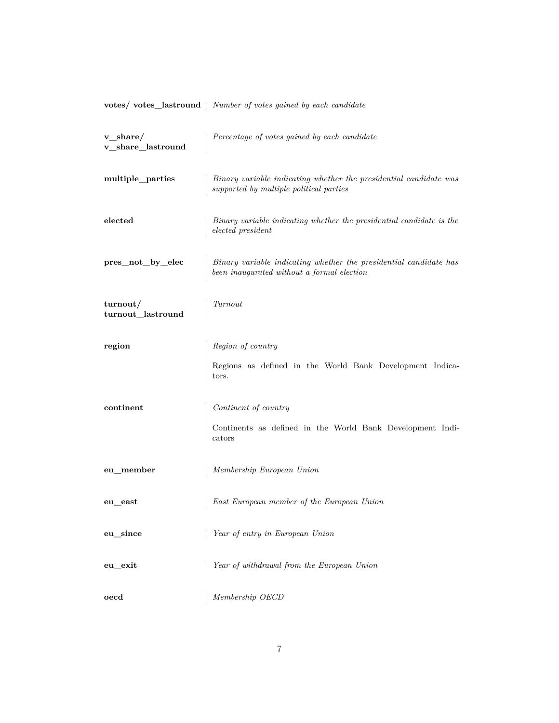|  | votes/votes_lastround   Number of votes gained by each candidate |  |  |  |  |
|--|------------------------------------------------------------------|--|--|--|--|
|  |                                                                  |  |  |  |  |

| $v$ _share/<br>v_share_lastround       | Percentage of votes gained by each candidate                                                                           |
|----------------------------------------|------------------------------------------------------------------------------------------------------------------------|
| multiple_parties                       | Binary variable indicating whether the presidential candidate was<br>supported by multiple political parties           |
| elected                                | Binary variable indicating whether the presidential candidate is the<br>$elected\ president$                           |
| pres_not_by_elec                       | Binary variable indicating whether the presidential candidate has<br>$been\;inaugurated\;without\;a\;formal\;electron$ |
| turnout/<br>${\sf turnout\_lastround}$ | Turnout                                                                                                                |
| region                                 | Region of country                                                                                                      |
|                                        | Regions as defined in the World Bank Development Indica-<br>tors.                                                      |
| continent                              | $\label{eq:continent} Continent\ of\ country$                                                                          |
|                                        | Continents as defined in the World Bank Development Indi-<br>$_{\rm cators}$                                           |
| eu_member                              | Membership European Union                                                                                              |
| eu_east                                | East European member of the European Union                                                                             |
| eu_since                               | Year of entry in European Union                                                                                        |
| eu_exit                                | Year of withdrawal from the European Union                                                                             |
| oecd                                   | Membership OECD                                                                                                        |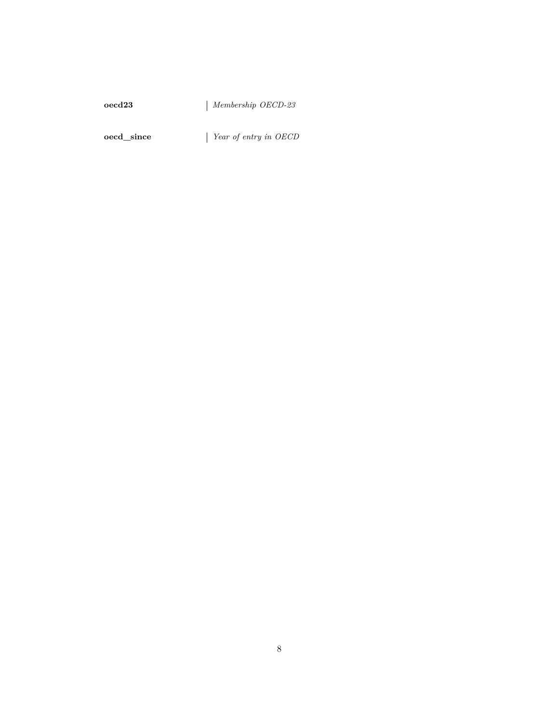#### **oecd23** *Membership OECD-23*

<span id="page-7-0"></span>**oecd\_since** *Year of entry in OECD*